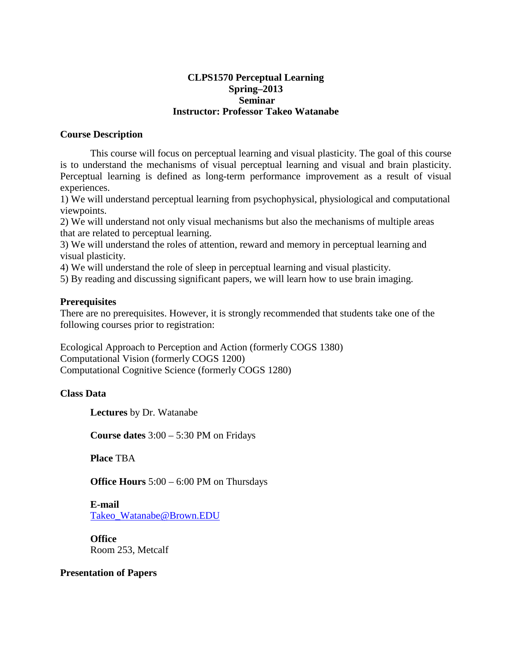### **CLPS1570 Perceptual Learning Spring–2013 Seminar Instructor: Professor Takeo Watanabe**

### **Course Description**

This course will focus on perceptual learning and visual plasticity. The goal of this course is to understand the mechanisms of visual perceptual learning and visual and brain plasticity. Perceptual learning is defined as long-term performance improvement as a result of visual experiences.

1) We will understand perceptual learning from psychophysical, physiological and computational viewpoints.

2) We will understand not only visual mechanisms but also the mechanisms of multiple areas that are related to perceptual learning.

3) We will understand the roles of attention, reward and memory in perceptual learning and visual plasticity.

4) We will understand the role of sleep in perceptual learning and visual plasticity.

5) By reading and discussing significant papers, we will learn how to use brain imaging.

#### **Prerequisites**

There are no prerequisites. However, it is strongly recommended that students take one of the following courses prior to registration:

Ecological Approach to Perception and Action (formerly COGS 1380) Computational Vision (formerly COGS 1200) Computational Cognitive Science (formerly COGS 1280)

#### **Class Data**

**Lectures** by Dr. Watanabe

**Course dates** 3:00 – 5:30 PM on Fridays

**Place** TBA

**Office Hours** 5:00 – 6:00 PM on Thursdays

**E-mail** [Takeo\\_Watanabe@Brown.EDU](mailto:Takeo_Watanabe@Brown.EDU)

**Office** Room 253, Metcalf

### **Presentation of Papers**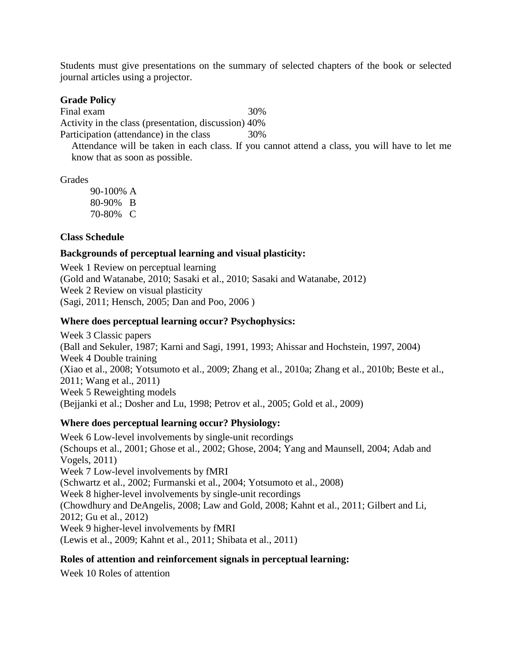Students must give presentations on the summary of selected chapters of the book or selected journal articles using a projector.

#### **Grade Policy**

Final exam 30% Activity in the class (presentation, discussion) 40%

Participation (attendance) in the class 30%

Attendance will be taken in each class. If you cannot attend a class, you will have to let me know that as soon as possible.

Grades

90-100% A 80-90% B 70-80% C

## **Class Schedule**

## **Backgrounds of perceptual learning and visual plasticity:**

Week 1 Review on perceptual learning (Gold and Watanabe, 2010; Sasaki et al., 2010; Sasaki and Watanabe, 2012) Week 2 Review on visual plasticity (Sagi, 2011; Hensch, 2005; Dan and Poo, 2006 )

# **Where does perceptual learning occur? Psychophysics:**

Week 3 Classic papers (Ball and Sekuler, 1987; Karni and Sagi, 1991, 1993; Ahissar and Hochstein, 1997, 2004) Week 4 Double training (Xiao et al., 2008; Yotsumoto et al., 2009; Zhang et al., 2010a; Zhang et al., 2010b; Beste et al., 2011; Wang et al., 2011) Week 5 Reweighting models (Bejjanki et al.; Dosher and Lu, 1998; Petrov et al., 2005; Gold et al., 2009)

# **Where does perceptual learning occur? Physiology:**

Week 6 Low-level involvements by single-unit recordings (Schoups et al., 2001; Ghose et al., 2002; Ghose, 2004; Yang and Maunsell, 2004; Adab and Vogels, 2011) Week 7 Low-level involvements by fMRI (Schwartz et al., 2002; Furmanski et al., 2004; Yotsumoto et al., 2008) Week 8 higher-level involvements by single-unit recordings (Chowdhury and DeAngelis, 2008; Law and Gold, 2008; Kahnt et al., 2011; Gilbert and Li, 2012; Gu et al., 2012) Week 9 higher-level involvements by fMRI (Lewis et al., 2009; Kahnt et al., 2011; Shibata et al., 2011)

# **Roles of attention and reinforcement signals in perceptual learning:**

Week 10 Roles of attention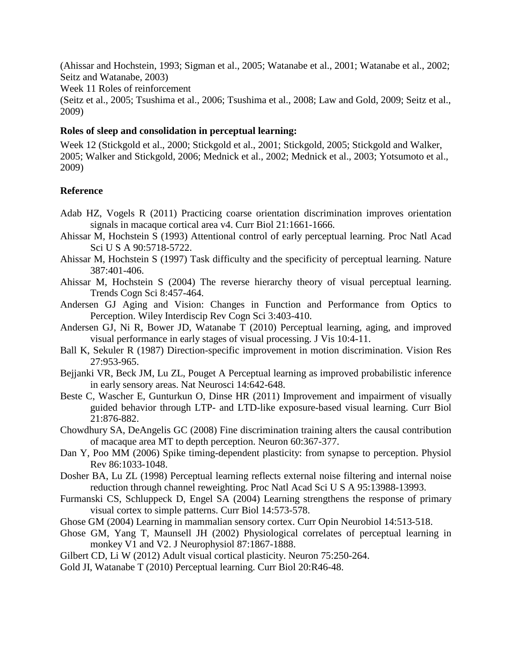(Ahissar and Hochstein, 1993; Sigman et al., 2005; Watanabe et al., 2001; Watanabe et al., 2002; Seitz and Watanabe, 2003)

Week 11 Roles of reinforcement

(Seitz et al., 2005; Tsushima et al., 2006; Tsushima et al., 2008; Law and Gold, 2009; Seitz et al., 2009)

# **Roles of sleep and consolidation in perceptual learning:**

Week 12 (Stickgold et al., 2000; Stickgold et al., 2001; Stickgold, 2005; Stickgold and Walker, 2005; Walker and Stickgold, 2006; Mednick et al., 2002; Mednick et al., 2003; Yotsumoto et al., 2009)

## **Reference**

- Adab HZ, Vogels R (2011) Practicing coarse orientation discrimination improves orientation signals in macaque cortical area v4. Curr Biol 21:1661-1666.
- Ahissar M, Hochstein S (1993) Attentional control of early perceptual learning. Proc Natl Acad Sci U S A 90:5718-5722.
- Ahissar M, Hochstein S (1997) Task difficulty and the specificity of perceptual learning. Nature 387:401-406.
- Ahissar M, Hochstein S (2004) The reverse hierarchy theory of visual perceptual learning. Trends Cogn Sci 8:457-464.
- Andersen GJ Aging and Vision: Changes in Function and Performance from Optics to Perception. Wiley Interdiscip Rev Cogn Sci 3:403-410.
- Andersen GJ, Ni R, Bower JD, Watanabe T (2010) Perceptual learning, aging, and improved visual performance in early stages of visual processing. J Vis 10:4-11.
- Ball K, Sekuler R (1987) Direction-specific improvement in motion discrimination. Vision Res 27:953-965.
- Bejjanki VR, Beck JM, Lu ZL, Pouget A Perceptual learning as improved probabilistic inference in early sensory areas. Nat Neurosci 14:642-648.
- Beste C, Wascher E, Gunturkun O, Dinse HR (2011) Improvement and impairment of visually guided behavior through LTP- and LTD-like exposure-based visual learning. Curr Biol 21:876-882.
- Chowdhury SA, DeAngelis GC (2008) Fine discrimination training alters the causal contribution of macaque area MT to depth perception. Neuron 60:367-377.
- Dan Y, Poo MM (2006) Spike timing-dependent plasticity: from synapse to perception. Physiol Rev 86:1033-1048.
- Dosher BA, Lu ZL (1998) Perceptual learning reflects external noise filtering and internal noise reduction through channel reweighting. Proc Natl Acad Sci U S A 95:13988-13993.
- Furmanski CS, Schluppeck D, Engel SA (2004) Learning strengthens the response of primary visual cortex to simple patterns. Curr Biol 14:573-578.
- Ghose GM (2004) Learning in mammalian sensory cortex. Curr Opin Neurobiol 14:513-518.
- Ghose GM, Yang T, Maunsell JH (2002) Physiological correlates of perceptual learning in monkey V1 and V2. J Neurophysiol 87:1867-1888.
- Gilbert CD, Li W (2012) Adult visual cortical plasticity. Neuron 75:250-264.
- Gold JI, Watanabe T (2010) Perceptual learning. Curr Biol 20:R46-48.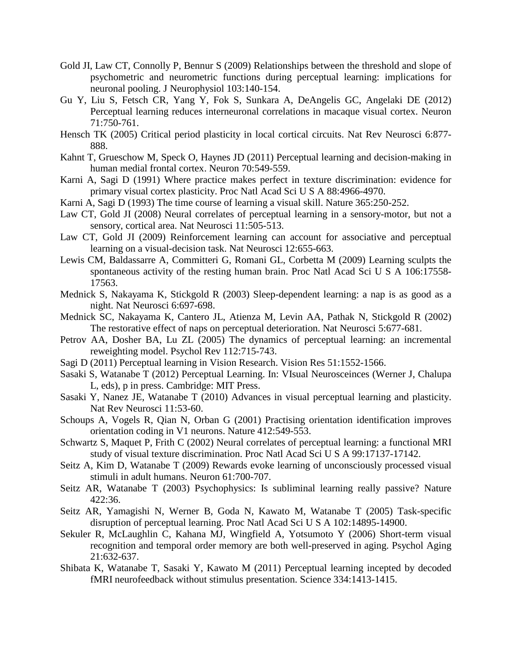- Gold JI, Law CT, Connolly P, Bennur S (2009) Relationships between the threshold and slope of psychometric and neurometric functions during perceptual learning: implications for neuronal pooling. J Neurophysiol 103:140-154.
- Gu Y, Liu S, Fetsch CR, Yang Y, Fok S, Sunkara A, DeAngelis GC, Angelaki DE (2012) Perceptual learning reduces interneuronal correlations in macaque visual cortex. Neuron 71:750-761.
- Hensch TK (2005) Critical period plasticity in local cortical circuits. Nat Rev Neurosci 6:877- 888.
- Kahnt T, Grueschow M, Speck O, Haynes JD (2011) Perceptual learning and decision-making in human medial frontal cortex. Neuron 70:549-559.
- Karni A, Sagi D (1991) Where practice makes perfect in texture discrimination: evidence for primary visual cortex plasticity. Proc Natl Acad Sci U S A 88:4966-4970.
- Karni A, Sagi D (1993) The time course of learning a visual skill. Nature 365:250-252.
- Law CT, Gold JI (2008) Neural correlates of perceptual learning in a sensory-motor, but not a sensory, cortical area. Nat Neurosci 11:505-513.
- Law CT, Gold JI (2009) Reinforcement learning can account for associative and perceptual learning on a visual-decision task. Nat Neurosci 12:655-663.
- Lewis CM, Baldassarre A, Committeri G, Romani GL, Corbetta M (2009) Learning sculpts the spontaneous activity of the resting human brain. Proc Natl Acad Sci U S A 106:17558- 17563.
- Mednick S, Nakayama K, Stickgold R (2003) Sleep-dependent learning: a nap is as good as a night. Nat Neurosci 6:697-698.
- Mednick SC, Nakayama K, Cantero JL, Atienza M, Levin AA, Pathak N, Stickgold R (2002) The restorative effect of naps on perceptual deterioration. Nat Neurosci 5:677-681.
- Petrov AA, Dosher BA, Lu ZL (2005) The dynamics of perceptual learning: an incremental reweighting model. Psychol Rev 112:715-743.
- Sagi D (2011) Perceptual learning in Vision Research. Vision Res 51:1552-1566.
- Sasaki S, Watanabe T (2012) Perceptual Learning. In: VIsual Neurosceinces (Werner J, Chalupa L, eds), p in press. Cambridge: MIT Press.
- Sasaki Y, Nanez JE, Watanabe T (2010) Advances in visual perceptual learning and plasticity. Nat Rev Neurosci 11:53-60.
- Schoups A, Vogels R, Qian N, Orban G (2001) Practising orientation identification improves orientation coding in V1 neurons. Nature 412:549-553.
- Schwartz S, Maquet P, Frith C (2002) Neural correlates of perceptual learning: a functional MRI study of visual texture discrimination. Proc Natl Acad Sci U S A 99:17137-17142.
- Seitz A, Kim D, Watanabe T (2009) Rewards evoke learning of unconsciously processed visual stimuli in adult humans. Neuron 61:700-707.
- Seitz AR, Watanabe T (2003) Psychophysics: Is subliminal learning really passive? Nature 422:36.
- Seitz AR, Yamagishi N, Werner B, Goda N, Kawato M, Watanabe T (2005) Task-specific disruption of perceptual learning. Proc Natl Acad Sci U S A 102:14895-14900.
- Sekuler R, McLaughlin C, Kahana MJ, Wingfield A, Yotsumoto Y (2006) Short-term visual recognition and temporal order memory are both well-preserved in aging. Psychol Aging 21:632-637.
- Shibata K, Watanabe T, Sasaki Y, Kawato M (2011) Perceptual learning incepted by decoded fMRI neurofeedback without stimulus presentation. Science 334:1413-1415.